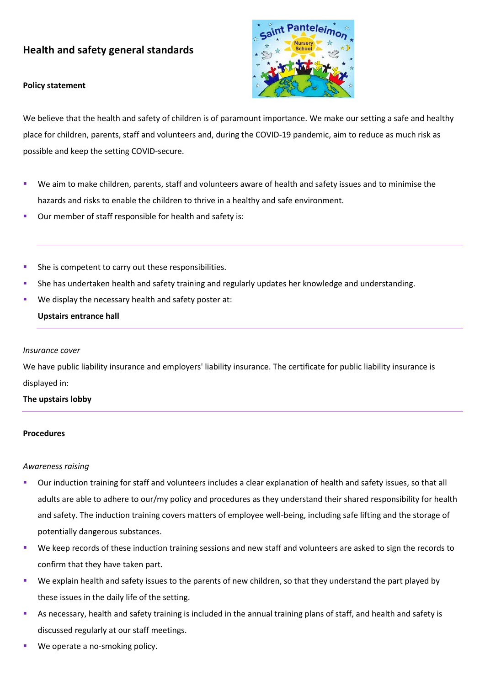# **Health and safety general standards**

#### **Policy statement**



We believe that the health and safety of children is of paramount importance. We make our setting a safe and healthy place for children, parents, staff and volunteers and, during the COVID-19 pandemic, aim to reduce as much risk as possible and keep the setting COVID-secure.

- We aim to make children, parents, staff and volunteers aware of health and safety issues and to minimise the hazards and risks to enable the children to thrive in a healthy and safe environment.
- Our member of staff responsible for health and safety is:
- She is competent to carry out these responsibilities.
- She has undertaken health and safety training and regularly updates her knowledge and understanding.
- We display the necessary health and safety poster at:

# **Upstairs entrance hall**

#### *Insurance cover*

We have public liability insurance and employers' liability insurance. The certificate for public liability insurance is displayed in:

## **The upstairs lobby**

#### **Procedures**

## *Awareness raising*

- Our induction training for staff and volunteers includes a clear explanation of health and safety issues, so that all adults are able to adhere to our/my policy and procedures as they understand their shared responsibility for health and safety. The induction training covers matters of employee well-being, including safe lifting and the storage of potentially dangerous substances.
- We keep records of these induction training sessions and new staff and volunteers are asked to sign the records to confirm that they have taken part.
- We explain health and safety issues to the parents of new children, so that they understand the part played by these issues in the daily life of the setting.
- As necessary, health and safety training is included in the annual training plans of staff, and health and safety is discussed regularly at our staff meetings.
- We operate a no-smoking policy.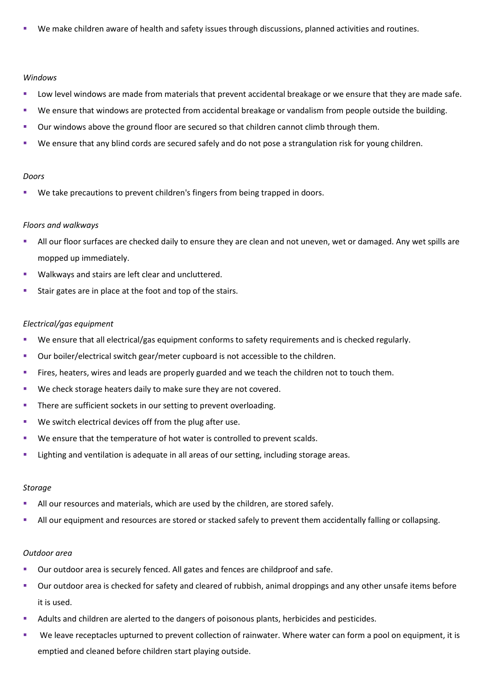We make children aware of health and safety issues through discussions, planned activities and routines.

#### *Windows*

- Low level windows are made from materials that prevent accidental breakage or we ensure that they are made safe.
- We ensure that windows are protected from accidental breakage or vandalism from people outside the building.
- Our windows above the ground floor are secured so that children cannot climb through them.
- We ensure that any blind cords are secured safely and do not pose a strangulation risk for young children.

## *Doors*

We take precautions to prevent children's fingers from being trapped in doors.

# *Floors and walkways*

- All our floor surfaces are checked daily to ensure they are clean and not uneven, wet or damaged. Any wet spills are mopped up immediately.
- Walkways and stairs are left clear and uncluttered.
- Stair gates are in place at the foot and top of the stairs.

# *Electrical/gas equipment*

- We ensure that all electrical/gas equipment conforms to safety requirements and is checked regularly.
- Our boiler/electrical switch gear/meter cupboard is not accessible to the children.
- Fires, heaters, wires and leads are properly guarded and we teach the children not to touch them.
- We check storage heaters daily to make sure they are not covered.
- **·** There are sufficient sockets in our setting to prevent overloading.
- We switch electrical devices off from the plug after use.
- We ensure that the temperature of hot water is controlled to prevent scalds.
- Lighting and ventilation is adequate in all areas of our setting, including storage areas.

## *Storage*

- All our resources and materials, which are used by the children, are stored safely.
- **E.** All our equipment and resources are stored or stacked safely to prevent them accidentally falling or collapsing.

## *Outdoor area*

- Our outdoor area is securely fenced. All gates and fences are childproof and safe.
- Our outdoor area is checked for safety and cleared of rubbish, animal droppings and any other unsafe items before it is used.
- Adults and children are alerted to the dangers of poisonous plants, herbicides and pesticides.
- We leave receptacles upturned to prevent collection of rainwater. Where water can form a pool on equipment, it is emptied and cleaned before children start playing outside.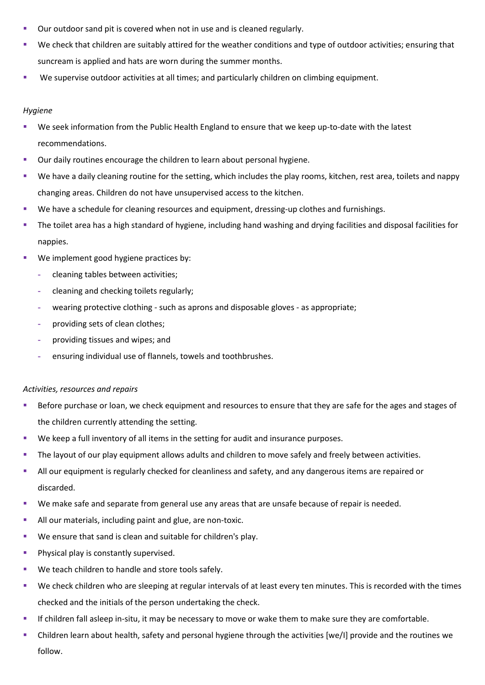- Our outdoor sand pit is covered when not in use and is cleaned regularly.
- We check that children are suitably attired for the weather conditions and type of outdoor activities; ensuring that suncream is applied and hats are worn during the summer months.
- We supervise outdoor activities at all times; and particularly children on climbing equipment.

## *Hygiene*

- We seek information from the Public Health England to ensure that we keep up-to-date with the latest recommendations.
- Our daily routines encourage the children to learn about personal hygiene.
- We have a daily cleaning routine for the setting, which includes the play rooms, kitchen, rest area, toilets and nappy changing areas. Children do not have unsupervised access to the kitchen.
- We have a schedule for cleaning resources and equipment, dressing-up clothes and furnishings.
- **The toilet area has a high standard of hygiene, including hand washing and drying facilities and disposal facilities for** nappies.
- We implement good hygiene practices by:
	- **-** cleaning tables between activities;
	- **-** cleaning and checking toilets regularly;
	- **-** wearing protective clothing such as aprons and disposable gloves as appropriate;
	- **-** providing sets of clean clothes;
	- **-** providing tissues and wipes; and
	- **-** ensuring individual use of flannels, towels and toothbrushes.

# *Activities, resources and repairs*

- Before purchase or loan, we check equipment and resources to ensure that they are safe for the ages and stages of the children currently attending the setting.
- We keep a full inventory of all items in the setting for audit and insurance purposes.
- The layout of our play equipment allows adults and children to move safely and freely between activities.
- **EXTEND** All our equipment is regularly checked for cleanliness and safety, and any dangerous items are repaired or discarded.
- We make safe and separate from general use any areas that are unsafe because of repair is needed.
- **E** All our materials, including paint and glue, are non-toxic.
- We ensure that sand is clean and suitable for children's play.
- **Physical play is constantly supervised.**
- We teach children to handle and store tools safely.
- We check children who are sleeping at regular intervals of at least every ten minutes. This is recorded with the times checked and the initials of the person undertaking the check.
- If children fall asleep in-situ, it may be necessary to move or wake them to make sure they are comfortable.
- Children learn about health, safety and personal hygiene through the activities [we/I] provide and the routines we follow.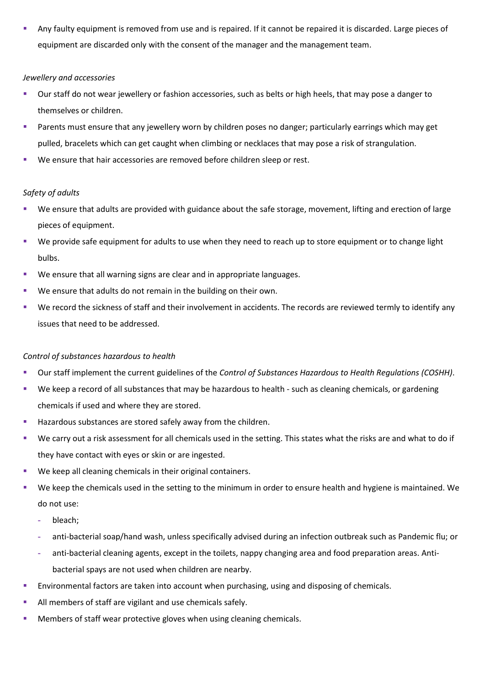Any faulty equipment is removed from use and is repaired. If it cannot be repaired it is discarded. Large pieces of equipment are discarded only with the consent of the manager and the management team.

# *Jewellery and accessories*

- Our staff do not wear jewellery or fashion accessories, such as belts or high heels, that may pose a danger to themselves or children.
- Parents must ensure that any jewellery worn by children poses no danger; particularly earrings which may get pulled, bracelets which can get caught when climbing or necklaces that may pose a risk of strangulation.
- We ensure that hair accessories are removed before children sleep or rest.

# *Safety of adults*

- We ensure that adults are provided with guidance about the safe storage, movement, lifting and erection of large pieces of equipment.
- We provide safe equipment for adults to use when they need to reach up to store equipment or to change light bulbs.
- We ensure that all warning signs are clear and in appropriate languages.
- We ensure that adults do not remain in the building on their own.
- We record the sickness of staff and their involvement in accidents. The records are reviewed termly to identify any issues that need to be addressed.

# *Control of substances hazardous to health*

- Our staff implement the current guidelines of the *Control of Substances Hazardous to Health Regulations (COSHH)*.
- We keep a record of all substances that may be hazardous to health such as cleaning chemicals, or gardening chemicals if used and where they are stored.
- Hazardous substances are stored safely away from the children.
- We carry out a risk assessment for all chemicals used in the setting. This states what the risks are and what to do if they have contact with eyes or skin or are ingested.
- We keep all cleaning chemicals in their original containers.
- We keep the chemicals used in the setting to the minimum in order to ensure health and hygiene is maintained. We do not use:
	- **-** bleach;
	- **-** anti-bacterial soap/hand wash, unless specifically advised during an infection outbreak such as Pandemic flu; or
	- **-** anti-bacterial cleaning agents, except in the toilets, nappy changing area and food preparation areas. Antibacterial spays are not used when children are nearby.
- Environmental factors are taken into account when purchasing, using and disposing of chemicals.
- All members of staff are vigilant and use chemicals safely.
- Members of staff wear protective gloves when using cleaning chemicals.